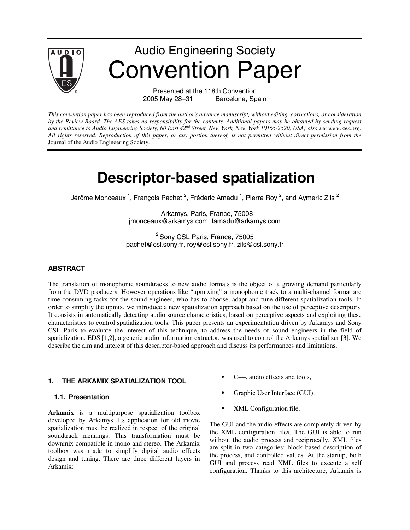

2005 May 28–31 Barcelona, Spain

*This convention paper has been reproduced from the author's advance manuscript, without editing, corrections, or consideration by the Review Board. The AES takes no responsibility for the contents. Additional papers may be obtained by sending request and remittance to Audio Engineering Society, 60 East 42nd Street, New York, New York 10165-2520, USA; also see www.aes.org. All rights reserved. Reproduction of this paper, or any portion thereof, is not permitted without direct permission from the* Journal of the Audio Engineering Society.

# **Descriptor-based spatialization**

Jérôme Monceaux  $^1$ , François Pachet  $^2$ , Frédéric Amadu  $^1$ , Pierre Roy  $^2$ , and Aymeric Zils  $^2$ 

<sup>1</sup> Arkamys, Paris, France, 75008 jmonceaux@arkamys.com, famadu@arkamys.com

<sup>2</sup> Sony CSL Paris, France, 75005 pachet@csl.sony.fr, roy@csl.sony.fr, zils@csl.sony.fr

#### **ABSTRACT**

The translation of monophonic soundtracks to new audio formats is the object of a growing demand particularly from the DVD producers. However operations like "upmixing" a monophonic track to a multi-channel format are time-consuming tasks for the sound engineer, who has to choose, adapt and tune different spatialization tools. In order to simplify the upmix, we introduce a new spatialization approach based on the use of perceptive descriptors. It consists in automatically detecting audio source characteristics, based on perceptive aspects and exploiting these characteristics to control spatialization tools. This paper presents an experimentation driven by Arkamys and Sony CSL Paris to evaluate the interest of this technique, to address the needs of sound engineers in the field of spatialization. EDS [1,2], a generic audio information extractor, was used to control the Arkamys spatializer [3]. We describe the aim and interest of this descriptor-based approach and discuss its performances and limitations.

#### **1. THE ARKAMIX SPATIALIZATION TOOL**

#### **1.1. Presentation**

**Arkamix** is a multipurpose spatialization toolbox developed by Arkamys. Its application for old movie spatialization must be realized in respect of the original soundtrack meanings. This transformation must be downmix compatible in mono and stereo. The Arkamix toolbox was made to simplify digital audio effects design and tuning. There are three different layers in Arkamix:

- C++, audio effects and tools,
- Graphic User Interface (GUI),
- XML Configuration file.

The GUI and the audio effects are completely driven by the XML configuration files. The GUI is able to run without the audio process and reciprocally. XML files are split in two categories: block based description of the process, and controlled values. At the startup, both GUI and process read XML files to execute a self configuration. Thanks to this architecture, Arkamix is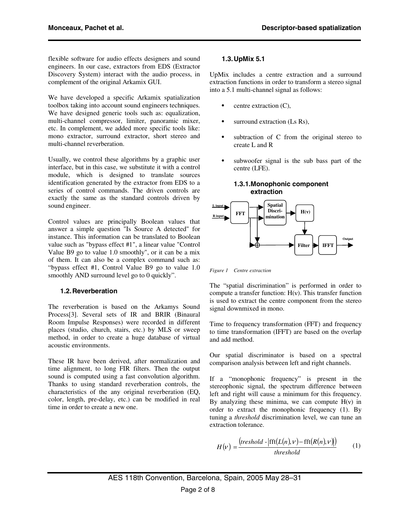flexible software for audio effects designers and sound engineers. In our case, extractors from EDS (Extractor Discovery System) interact with the audio process, in complement of the original Arkamix GUI.

We have developed a specific Arkamix spatialization toolbox taking into account sound engineers techniques. We have designed generic tools such as: equalization, multi-channel compressor, limiter, panoramic mixer, etc. In complement, we added more specific tools like: mono extractor, surround extractor, short stereo and multi-channel reverberation.

Usually, we control these algorithms by a graphic user interface, but in this case, we substitute it with a control module, which is designed to translate sources identification generated by the extractor from EDS to a series of control commands. The driven controls are exactly the same as the standard controls driven by sound engineer.

Control values are principally Boolean values that answer a simple question "Is Source A detected" for instance. This information can be translated to Boolean value such as "bypass effect #1", a linear value "Control Value B9 go to value 1.0 smoothly", or it can be a mix of them. It can also be a complex command such as: "bypass effect #1, Control Value B9 go to value 1.0 smoothly AND surround level go to 0 quickly".

## **1.2. Reverberation**

The reverberation is based on the Arkamys Sound Process[3]. Several sets of IR and BRIR (Binaural Room Impulse Responses) were recorded in different places (studio, church, stairs, etc.) by MLS or sweep method, in order to create a huge database of virtual acoustic environments.

These IR have been derived, after normalization and time alignment, to long FIR filters. Then the output sound is computed using a fast convolution algorithm. Thanks to using standard reverberation controls, the characteristics of the any original reverberation (EQ, color, length, pre-delay, etc.) can be modified in real time in order to create a new one.

## **1.3. UpMix 5.1**

UpMix includes a centre extraction and a surround extraction functions in order to transform a stereo signal into a 5.1 multi-channel signal as follows:

- centre extraction (C),
- surround extraction (Ls Rs),
- subtraction of C from the original stereo to create L and R
- subwoofer signal is the sub bass part of the centre (LFE).



**1.3.1. Monophonic component extraction** 

*Figure 1 Centre extraction* 

The "spatial discrimination" is performed in order to compute a transfer function:  $H(v)$ . This transfer function is used to extract the centre component from the stereo signal downmixed in mono.

Time to frequency transformation (FFT) and frequency to time transformation (IFFT) are based on the overlap and add method.

Our spatial discriminator is based on a spectral comparison analysis between left and right channels.

If a "monophonic frequency" is present in the stereophonic signal, the spectrum difference between left and right will cause a minimum for this frequency. By analyzing these minima, we can compute  $H(v)$  in order to extract the monophonic frequency (1). By tuning a *threshold* discrimination level, we can tune an extraction tolerance.

$$
H(v) = \frac{(treshold - |fft(L(n), v) - fft(R(n), v))}{threshold}
$$
 (1)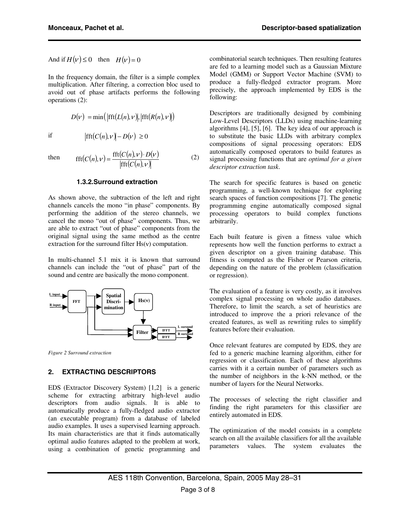And if  $H(v) \le 0$  then  $H(v) = 0$ 

In the frequency domain, the filter is a simple complex multiplication. After filtering, a correction bloc used to avoid out of phase artifacts performs the following operations (2):

$$
D(v) = \min\left(\left|\text{fft}(L(n), v)\right|, \left|\text{fft}(R(n), v)\right|\right)
$$
  
if 
$$
\left|\text{fft}(C(n), v)\right| - D(v) \ge 0
$$

then 
$$
fft(C(n), v) = \frac{fft(C(n), v) \cdot D(v)}{|fft(C(n), v)|}
$$
 (2)

#### **1.3.2. Surround extraction**

As shown above, the subtraction of the left and right channels cancels the mono "in phase" components. By performing the addition of the stereo channels, we cancel the mono "out of phase" components. Thus, we are able to extract "out of phase" components from the original signal using the same method as the centre extraction for the surround filter  $Hs(v)$  computation.

In multi-channel 5.1 mix it is known that surround channels can include the "out of phase" part of the sound and centre are basically the mono component.



*Figure 2 Surround extraction* 

## **2. EXTRACTING DESCRIPTORS**

EDS (Extractor Discovery System) [1,2] is a generic scheme for extracting arbitrary high-level audio descriptors from audio signals. It is able to automatically produce a fully-fledged audio extractor (an executable program) from a database of labeled audio examples. It uses a supervised learning approach. Its main characteristics are that it finds automatically optimal audio features adapted to the problem at work, using a combination of genetic programming and combinatorial search techniques. Then resulting features are fed to a learning model such as a Gaussian Mixture Model (GMM) or Support Vector Machine (SVM) to produce a fully-fledged extractor program. More precisely, the approach implemented by EDS is the following:

Descriptors are traditionally designed by combining Low-Level Descriptors (LLDs) using machine-learning algorithms [4], [5], [6]. The key idea of our approach is to substitute the basic LLDs with arbitrary complex compositions of signal processing operators: EDS automatically composed operators to build features as signal processing functions that are *optimal for a given descriptor extraction task*.

The search for specific features is based on genetic programming, a well-known technique for exploring search spaces of function compositions [7]. The genetic programming engine automatically composed signal processing operators to build complex functions arbitrarily.

Each built feature is given a fitness value which represents how well the function performs to extract a given descriptor on a given training database. This fitness is computed as the Fisher or Pearson criteria, depending on the nature of the problem (classification or regression).

The evaluation of a feature is very costly, as it involves complex signal processing on whole audio databases. Therefore, to limit the search, a set of heuristics are introduced to improve the a priori relevance of the created features, as well as rewriting rules to simplify features before their evaluation.

Once relevant features are computed by EDS, they are fed to a generic machine learning algorithm, either for regression or classification. Each of these algorithms carries with it a certain number of parameters such as the number of neighbors in the k-NN method, or the number of layers for the Neural Networks.

The processes of selecting the right classifier and finding the right parameters for this classifier are entirely automated in EDS.

The optimization of the model consists in a complete search on all the available classifiers for all the available parameters values. The system evaluates the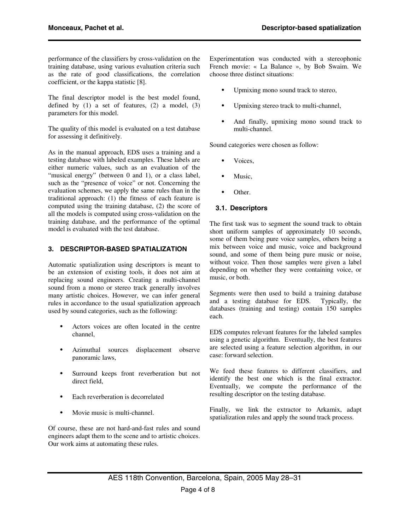performance of the classifiers by cross-validation on the training database, using various evaluation criteria such as the rate of good classifications, the correlation coefficient, or the kappa statistic [8].

The final descriptor model is the best model found, defined by  $(1)$  a set of features,  $(2)$  a model,  $(3)$ parameters for this model.

The quality of this model is evaluated on a test database for assessing it definitively.

As in the manual approach, EDS uses a training and a testing database with labeled examples. These labels are either numeric values, such as an evaluation of the "musical energy" (between 0 and 1), or a class label, such as the "presence of voice" or not. Concerning the evaluation schemes, we apply the same rules than in the traditional approach: (1) the fitness of each feature is computed using the training database, (2) the score of all the models is computed using cross-validation on the training database, and the performance of the optimal model is evaluated with the test database.

## **3. DESCRIPTOR-BASED SPATIALIZATION**

Automatic spatialization using descriptors is meant to be an extension of existing tools, it does not aim at replacing sound engineers. Creating a multi-channel sound from a mono or stereo track generally involves many artistic choices. However, we can infer general rules in accordance to the usual spatialization approach used by sound categories, such as the following:

- Actors voices are often located in the centre channel,
- Azimuthal sources displacement observe panoramic laws,
- Surround keeps front reverberation but not direct field,
- Each reverberation is decorrelated
- Movie music is multi-channel.

Of course, these are not hard-and-fast rules and sound engineers adapt them to the scene and to artistic choices. Our work aims at automating these rules.

Experimentation was conducted with a stereophonic French movie: « La Balance », by Bob Swaim. We choose three distinct situations:

- Upmixing mono sound track to stereo,
- Upmixing stereo track to multi-channel,
- And finally, upmixing mono sound track to multi-channel.

Sound categories were chosen as follow:

- Voices,
- Music,
- Other.

## **3.1. Descriptors**

The first task was to segment the sound track to obtain short uniform samples of approximately 10 seconds, some of them being pure voice samples, others being a mix between voice and music, voice and background sound, and some of them being pure music or noise, without voice. Then those samples were given a label depending on whether they were containing voice, or music, or both.

Segments were then used to build a training database and a testing database for EDS. Typically, the databases (training and testing) contain 150 samples each.

EDS computes relevant features for the labeled samples using a genetic algorithm. Eventually, the best features are selected using a feature selection algorithm, in our case: forward selection.

We feed these features to different classifiers, and identify the best one which is the final extractor. Eventually, we compute the performance of the resulting descriptor on the testing database.

Finally, we link the extractor to Arkamix, adapt spatialization rules and apply the sound track process.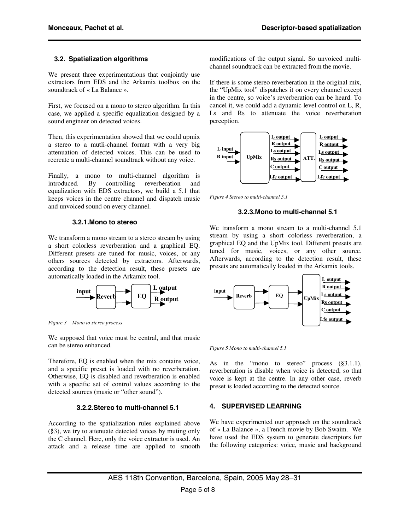## **3.2. Spatialization algorithms**

We present three experimentations that conjointly use extractors from EDS and the Arkamix toolbox on the soundtrack of « La Balance ».

First, we focused on a mono to stereo algorithm. In this case, we applied a specific equalization designed by a sound engineer on detected voices.

Then, this experimentation showed that we could upmix a stereo to a mutli-channel format with a very big attenuation of detected voices. This can be used to recreate a multi-channel soundtrack without any voice.

Finally, a mono to multi-channel algorithm is introduced. By controlling reverberation and equalization with EDS extractors, we build a 5.1 that keeps voices in the centre channel and dispatch music and unvoiced sound on every channel.

#### **3.2.1. Mono to stereo**

We transform a mono stream to a stereo stream by using a short colorless reverberation and a graphical EQ. Different presets are tuned for music, voices, or any others sources detected by extractors. Afterwards, according to the detection result, these presets are automatically loaded in the Arkamix tool.



*Figure 3 Mono to stereo process* 

We supposed that voice must be central, and that music can be stereo enhanced.

Therefore, EQ is enabled when the mix contains voice, and a specific preset is loaded with no reverberation. Otherwise, EQ is disabled and reverberation is enabled with a specific set of control values according to the detected sources (music or "other sound").

#### **3.2.2. Stereo to multi-channel 5.1**

According to the spatialization rules explained above (§3), we try to attenuate detected voices by muting only the C channel. Here, only the voice extractor is used. An attack and a release time are applied to smooth modifications of the output signal. So unvoiced multichannel soundtrack can be extracted from the movie.

If there is some stereo reverberation in the original mix, the "UpMix tool" dispatches it on every channel except in the centre, so voice's reverberation can be heard. To cancel it, we could add a dynamic level control on L, R, Ls and Rs to attenuate the voice reverberation perception.



*Figure 4 Stereo to multi-channel 5.1* 

#### **3.2.3. Mono to multi-channel 5.1**

We transform a mono stream to a multi-channel 5.1 stream by using a short colorless reverberation, a graphical EQ and the UpMix tool. Different presets are tuned for music, voices, or any other source. Afterwards, according to the detection result, these presets are automatically loaded in the Arkamix tools.



*Figure 5 Mono to multi-channel 5.1* 

As in the "mono to stereo" process (§3.1.1), reverberation is disable when voice is detected, so that voice is kept at the centre. In any other case, reverb preset is loaded according to the detected source.

## **4. SUPERVISED LEARNING**

We have experimented our approach on the soundtrack of « La Balance », a French movie by Bob Swaim. We have used the EDS system to generate descriptors for the following categories: voice, music and background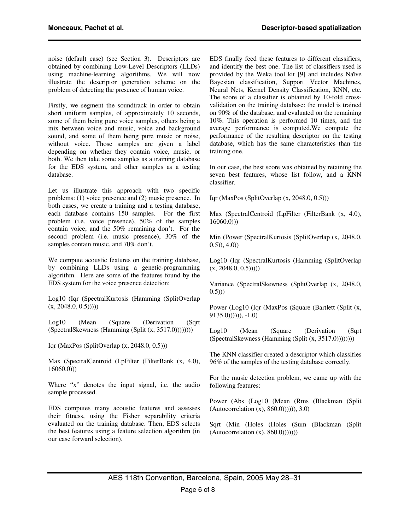noise (default case) (see Section 3). Descriptors are obtained by combining Low-Level Descriptors (LLDs) using machine-learning algorithms. We will now illustrate the descriptor generation scheme on the problem of detecting the presence of human voice.

Firstly, we segment the soundtrack in order to obtain short uniform samples, of approximately 10 seconds, some of them being pure voice samples, others being a mix between voice and music, voice and background sound, and some of them being pure music or noise, without voice. Those samples are given a label depending on whether they contain voice, music, or both. We then take some samples as a training database for the EDS system, and other samples as a testing database.

Let us illustrate this approach with two specific problems: (1) voice presence and (2) music presence. In both cases, we create a training and a testing database, each database contains 150 samples. For the first problem (i.e. voice presence), 50% of the samples contain voice, and the 50% remaining don't. For the second problem (i.e. music presence), 30% of the samples contain music, and 70% don't.

We compute acoustic features on the training database, by combining LLDs using a genetic-programming algorithm. Here are some of the features found by the EDS system for the voice presence detection:

Log10 (Iqr (SpectralKurtosis (Hamming (SplitOverlap  $(x, 2048.0, 0.5))$ 

Log10 (Mean (Square (Derivation (Sqrt) (SpectralSkewness (Hamming (Split (x, 3517.0))))))))

Iqr (MaxPos (SplitOverlap (x, 2048.0, 0.5)))

Max (SpectralCentroid (LpFilter (FilterBank (x, 4.0),  $16060.0))$ 

Where "x" denotes the input signal, i.e. the audio sample processed.

EDS computes many acoustic features and assesses their fitness, using the Fisher separability criteria evaluated on the training database. Then, EDS selects the best features using a feature selection algorithm (in our case forward selection).

EDS finally feed these features to different classifiers, and identify the best one. The list of classifiers used is provided by the Weka tool kit [9] and includes Naïve Bayesian classification, Support Vector Machines, Neural Nets, Kernel Density Classification, KNN, etc. The score of a classifier is obtained by 10-fold crossvalidation on the training database: the model is trained on 90% of the database, and evaluated on the remaining 10%. This operation is performed 10 times, and the average performance is computed.We compute the performance of the resulting descriptor on the testing database, which has the same characteristics than the training one.

In our case, the best score was obtained by retaining the seven best features, whose list follow, and a KNN classifier.

Iqr (MaxPos (SplitOverlap (x, 2048.0, 0.5)))

Max (SpectralCentroid (LpFilter (FilterBank (x, 4.0), 16060.0)))

Min (Power (SpectralKurtosis (SplitOverlap (x, 2048.0,  $(0.5)$ ,  $(4.0)$ 

Log10 (Iqr (SpectralKurtosis (Hamming (SplitOverlap  $(x, 2048.0, 0.5))$ 

Variance (SpectralSkewness (SplitOverlap (x, 2048.0,  $(0.5))$ 

Power (Log10 (Iqr (MaxPos (Square (Bartlett (Split (x,  $(9135.0))))$ )), -1.0)

Log10 (Mean (Square (Derivation (Sqrt (SpectralSkewness (Hamming (Split (x, 3517.0))))))))

The KNN classifier created a descriptor which classifies 96% of the samples of the testing database correctly.

For the music detection problem, we came up with the following features:

Power (Abs (Log10 (Mean (Rms (Blackman (Split  $(Autocorrelation (x), 860.0))))$ , 3.0)

Sqrt (Min (Holes (Holes (Sum (Blackman (Split  $(Autocorrelation (x), 860.0)))))$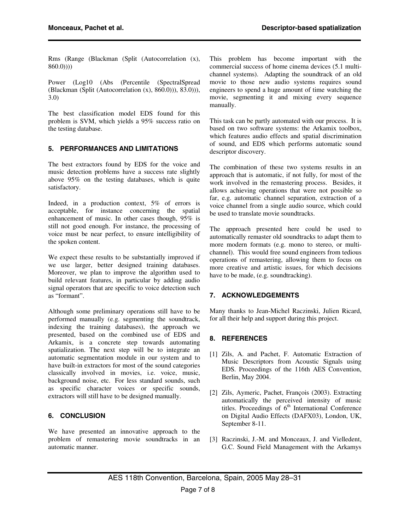Rms (Range (Blackman (Split (Autocorrelation (x),  $860.0))$ )

Power (Log10 (Abs (Percentile (SpectralSpread (Blackman (Split (Autocorrelation (x), 860.0))), 83.0))), 3.0)

The best classification model EDS found for this problem is SVM, which yields a 95% success ratio on the testing database.

## **5. PERFORMANCES AND LIMITATIONS**

The best extractors found by EDS for the voice and music detection problems have a success rate slightly above 95% on the testing databases, which is quite satisfactory.

Indeed, in a production context, 5% of errors is acceptable, for instance concerning the spatial enhancement of music. In other cases though, 95% is still not good enough. For instance, the processing of voice must be near perfect, to ensure intelligibility of the spoken content.

We expect these results to be substantially improved if we use larger, better designed training databases. Moreover, we plan to improve the algorithm used to build relevant features, in particular by adding audio signal operators that are specific to voice detection such as "formant".

Although some preliminary operations still have to be performed manually (e.g. segmenting the soundtrack, indexing the training databases), the approach we presented, based on the combined use of EDS and Arkamix, is a concrete step towards automating spatialization. The next step will be to integrate an automatic segmentation module in our system and to have built-in extractors for most of the sound categories classically involved in movies, i.e. voice, music, background noise, etc. For less standard sounds, such as specific character voices or specific sounds, extractors will still have to be designed manually.

# **6. CONCLUSION**

We have presented an innovative approach to the problem of remastering movie soundtracks in an automatic manner.

This problem has become important with the commercial success of home cinema devices (5.1 multichannel systems). Adapting the soundtrack of an old movie to those new audio systems requires sound engineers to spend a huge amount of time watching the movie, segmenting it and mixing every sequence manually.

This task can be partly automated with our process. It is based on two software systems: the Arkamix toolbox, which features audio effects and spatial discrimination of sound, and EDS which performs automatic sound descriptor discovery.

The combination of these two systems results in an approach that is automatic, if not fully, for most of the work involved in the remastering process. Besides, it allows achieving operations that were not possible so far, e.g. automatic channel separation, extraction of a voice channel from a single audio source, which could be used to translate movie soundtracks.

The approach presented here could be used to automatically remaster old soundtracks to adapt them to more modern formats (e.g. mono to stereo, or multichannel). This would free sound engineers from tedious operations of remastering, allowing them to focus on more creative and artistic issues, for which decisions have to be made, (e.g. soundtracking).

# **7. ACKNOWLEDGEMENTS**

Many thanks to Jean-Michel Raczinski, Julien Ricard, for all their help and support during this project.

# **8. REFERENCES**

- [1] Zils, A. and Pachet, F. Automatic Extraction of Music Descriptors from Acoustic Signals using EDS. Proceedings of the 116th AES Convention, Berlin, May 2004.
- [2] Zils, Aymeric, Pachet, François (2003). Extracting automatically the perceived intensity of music titles. Proceedings of  $6<sup>th</sup>$  International Conference on Digital Audio Effects (DAFX03), London, UK, September 8-11.
- [3] Raczinski, J.-M. and Monceaux, J. and Vielledent, G.C. Sound Field Management with the Arkamys